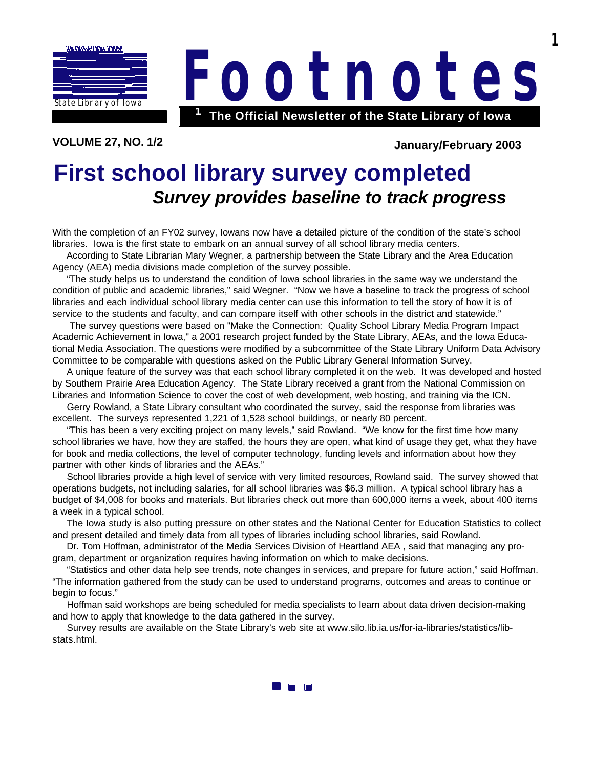

**VOLUME 27, NO. 1/2 January/February 2003**

**The Official Newsletter of the State Library of Iowa <sup>1</sup> Footnote s**

**1**

## **First school library survey completed** *Survey provides baseline to track progress*

With the completion of an FY02 survey, Iowans now have a detailed picture of the condition of the state's school libraries. Iowa is the first state to embark on an annual survey of all school library media centers.

 According to State Librarian Mary Wegner, a partnership between the State Library and the Area Education Agency (AEA) media divisions made completion of the survey possible.

 "The study helps us to understand the condition of Iowa school libraries in the same way we understand the condition of public and academic libraries," said Wegner. "Now we have a baseline to track the progress of school libraries and each individual school library media center can use this information to tell the story of how it is of service to the students and faculty, and can compare itself with other schools in the district and statewide."

 The survey questions were based on "Make the Connection: Quality School Library Media Program Impact Academic Achievement in Iowa," a 2001 research project funded by the State Library, AEAs, and the Iowa Educational Media Association. The questions were modified by a subcommittee of the State Library Uniform Data Advisory Committee to be comparable with questions asked on the Public Library General Information Survey.

 A unique feature of the survey was that each school library completed it on the web. It was developed and hosted by Southern Prairie Area Education Agency. The State Library received a grant from the National Commission on Libraries and Information Science to cover the cost of web development, web hosting, and training via the ICN.

 Gerry Rowland, a State Library consultant who coordinated the survey, said the response from libraries was excellent. The surveys represented 1,221 of 1,528 school buildings, or nearly 80 percent.

 "This has been a very exciting project on many levels," said Rowland. "We know for the first time how many school libraries we have, how they are staffed, the hours they are open, what kind of usage they get, what they have for book and media collections, the level of computer technology, funding levels and information about how they partner with other kinds of libraries and the AEAs."

 School libraries provide a high level of service with very limited resources, Rowland said. The survey showed that operations budgets, not including salaries, for all school libraries was \$6.3 million. A typical school library has a budget of \$4,008 for books and materials. But libraries check out more than 600,000 items a week, about 400 items a week in a typical school.

 The Iowa study is also putting pressure on other states and the National Center for Education Statistics to collect and present detailed and timely data from all types of libraries including school libraries, said Rowland.

 Dr. Tom Hoffman, administrator of the Media Services Division of Heartland AEA , said that managing any program, department or organization requires having information on which to make decisions.

 "Statistics and other data help see trends, note changes in services, and prepare for future action," said Hoffman. "The information gathered from the study can be used to understand programs, outcomes and areas to continue or begin to focus."

 Hoffman said workshops are being scheduled for media specialists to learn about data driven decision-making and how to apply that knowledge to the data gathered in the survey.

 [Survey results are available on the State Library's web site at www.silo.lib.ia.us/for-ia-libraries/statistics/lib](http://www.silo.lib.ia.us/for-ia-libraries/statistics/lib-stats.html)stats.html.

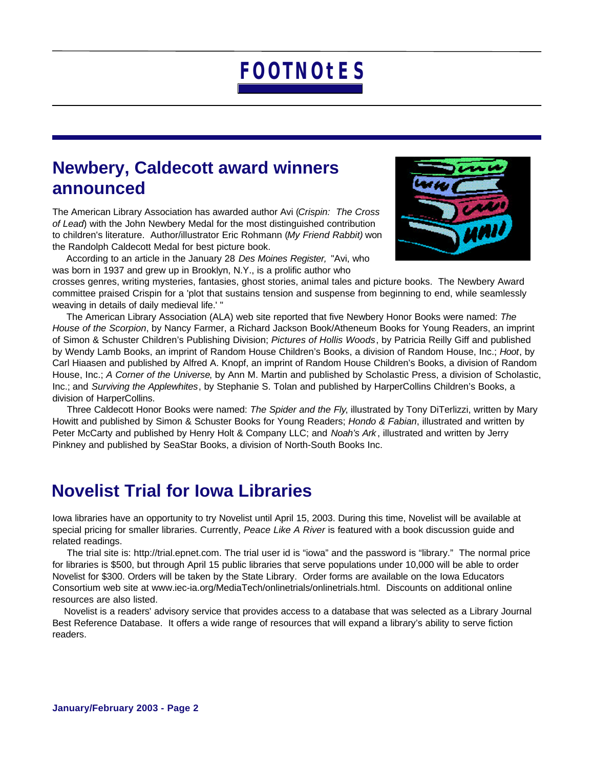### **Newbery, Caldecott award winners announced**

The American Library Association has awarded author Avi (*Crispin: The Cross of Lead*) with the John Newbery Medal for the most distinguished contribution to children's literature. Author/illustrator Eric Rohmann (*My Friend Rabbit)* won the Randolph Caldecott Medal for best picture book.

 According to an article in the January 28 *Des Moines Register,* "Avi, who was born in 1937 and grew up in Brooklyn, N.Y., is a prolific author who



crosses genres, writing mysteries, fantasies, ghost stories, animal tales and picture books. The Newbery Award committee praised Crispin for a 'plot that sustains tension and suspense from beginning to end, while seamlessly weaving in details of daily medieval life.' "

 The American Library Association (ALA) web site reported that five Newbery Honor Books were named: *The House of the Scorpion*, by Nancy Farmer, a Richard Jackson Book/Atheneum Books for Young Readers, an imprint of Simon & Schuster Children's Publishing Division; *Pictures of Hollis Woods*, by Patricia Reilly Giff and published by Wendy Lamb Books, an imprint of Random House Children's Books, a division of Random House, Inc.; *Hoot*, by Carl Hiaasen and published by Alfred A. Knopf, an imprint of Random House Children's Books, a division of Random House, Inc.; *A Corner of the Universe*, by Ann M. Martin and published by Scholastic Press, a division of Scholastic, Inc.; and *Surviving the Applewhites*, by Stephanie S. Tolan and published by HarperCollins Children's Books, a division of HarperCollins.

 Three Caldecott Honor Books were named: *The Spider and the Fly*, illustrated by Tony DiTerlizzi, written by Mary Howitt and published by Simon & Schuster Books for Young Readers; *Hondo & Fabian*, illustrated and written by Peter McCarty and published by Henry Holt & Company LLC; and *Noah's Ark* , illustrated and written by Jerry Pinkney and published by SeaStar Books, a division of North-South Books Inc.

### **Novelist Trial for Iowa Libraries**

Iowa libraries have an opportunity to try Novelist until April 15, 2003. During this time, Novelist will be available at special pricing for smaller libraries. Currently, *Peace Like A River* is featured with a book discussion guide and related readings.

 The trial site is: [http://trial.epnet.com.](http://trial.epnet.com) The trial user id is "iowa" and the password is "library." The normal price for libraries is \$500, but through April 15 public libraries that serve populations under 10,000 will be able to order Novelist for \$300. Orders will be taken by the State Library. Order forms are available on the Iowa Educators Consortium web site at [www.iec-ia.org/MediaTech/onlinetrials/onlinetrials.html.](http://www.iec-ia.org/MediaTech/onlinetrials/onlinetrials.html) Discounts on additional online resources are also listed.

 Novelist is a readers' advisory service that provides access to a database that was selected as a Library Journal Best Reference Database. It offers a wide range of resources that will expand a library's ability to serve fiction readers.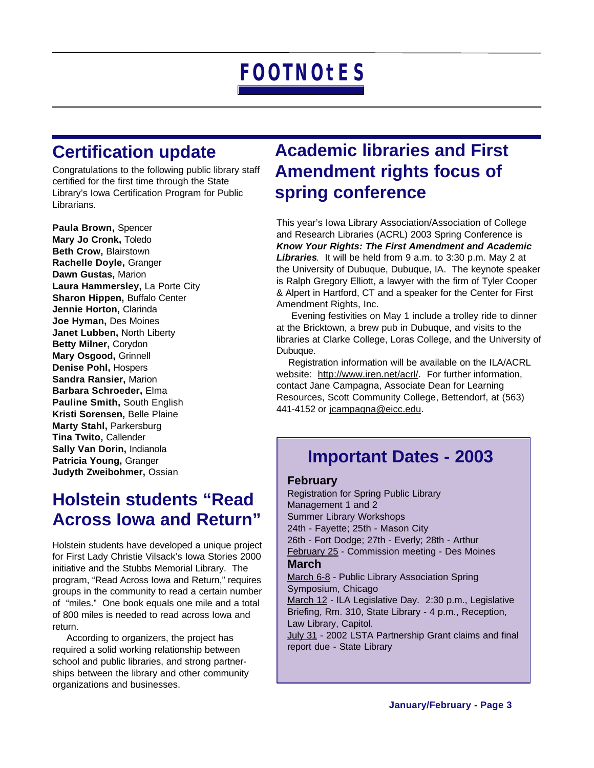## **Certification update**

Congratulations to the following public library staff certified for the first time through the State Library's Iowa Certification Program for Public Librarians.

**Paula Brown,** Spencer **Mary Jo Cronk,** Toledo **Beth Crow,** Blairstown **Rachelle Doyle,** Granger **Dawn Gustas,** Marion **Laura Hammersley,** La Porte City **Sharon Hippen,** Buffalo Center **Jennie Horton,** Clarinda **Joe Hyman,** Des Moines **Janet Lubben,** North Liberty **Betty Milner,** Corydon **Mary Osgood,** Grinnell **Denise Pohl,** Hospers **Sandra Ransier,** Marion **Barbara Schroeder,** Elma **Pauline Smith,** South English **Kristi Sorensen,** Belle Plaine **Marty Stahl,** Parkersburg **Tina Twito,** Callender **Sally Van Dorin,** Indianola **Patricia Young,** Granger **Judyth Zweibohmer,** Ossian

## **Holstein students "Read Across Iowa and Return"**

Holstein students have developed a unique project for First Lady Christie Vilsack's Iowa Stories 2000 initiative and the Stubbs Memorial Library. The program, "Read Across Iowa and Return," requires groups in the community to read a certain number of "miles." One book equals one mile and a total of 800 miles is needed to read across Iowa and return.

 According to organizers, the project has required a solid working relationship between school and public libraries, and strong partnerships between the library and other community organizations and businesses.

## **Academic libraries and First Amendment rights focus of spring conference**

This year's Iowa Library Association/Association of College and Research Libraries (ACRL) 2003 Spring Conference is *Know Your Rights: The First Amendment and Academic Libraries*. It will be held from 9 a.m. to 3:30 p.m. May 2 at the University of Dubuque, Dubuque, IA. The keynote speaker is Ralph Gregory Elliott, a lawyer with the firm of Tyler Cooper & Alpert in Hartford, CT and a speaker for the Center for First Amendment Rights, Inc.

 Evening festivities on May 1 include a trolley ride to dinner at the Bricktown, a brew pub in Dubuque, and visits to the libraries at Clarke College, Loras College, and the University of Dubuque.

 Registration information will be available on the ILA/ACRL website: [http://www.iren.net/acrl/.](http://www.iren.net/acrl/) For further information, contact Jane Campagna, Associate Dean for Learning Resources, Scott Community College, Bettendorf, at (563) 441-4152 or [jcampagna@eicc.edu.](mailto:jcampagna@eicc.edu)

### **Important Dates - 2003**

### **February**

Registration for Spring Public Library Management 1 and 2 Summer Library Workshops 24th - Fayette; 25th - Mason City 26th - Fort Dodge; 27th - Everly; 28th - Arthur February 25 - Commission meeting - Des Moines **March** March 6-8 - Public Library Association Spring Symposium, Chicago

March 12 - ILA Legislative Day. 2:30 p.m., Legislative Briefing, Rm. 310, State Library - 4 p.m., Reception, Law Library, Capitol.

July 31 - 2002 LSTA Partnership Grant claims and final report due - State Library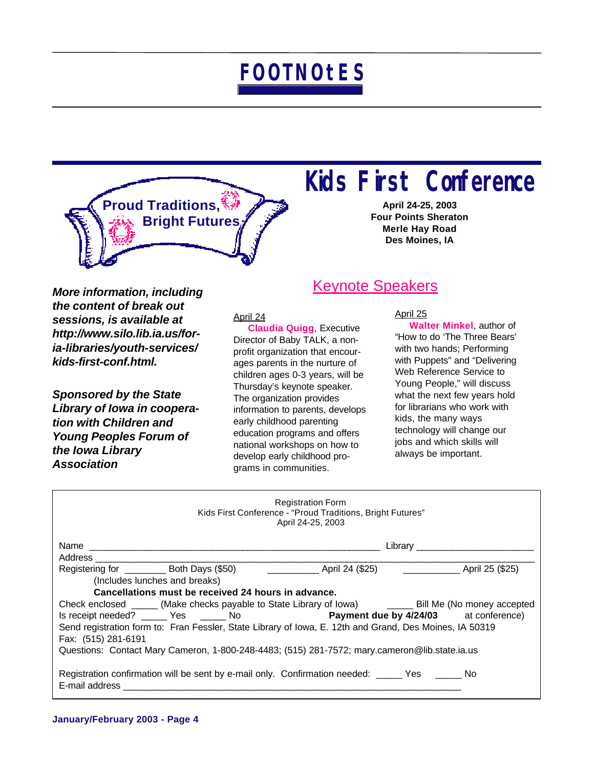

## **Kids First Conference**

**April 24-25, 2003 Four Points Sheraton Merle Hay Road Des Moines, IA**

*More information, including the content of break out sessions, is available at http://www.silo.lib.ia.us/foria-libraries/youth-services/ kids-first-conf.html.*

*Sponsored by the State Library of Iowa in cooperation with Children and Young Peoples Forum of the Iowa Library Association*

### Keynote Speakers

April 24

 **Claudia Quigg**, Executive Director of Baby TALK, a nonprofit organization that encourages parents in the nurture of children ages 0-3 years, will be Thursday's keynote speaker. The organization provides information to parents, develops early childhood parenting education programs and offers national workshops on how to develop early childhood programs in communities.

### April 25

 **Walter Minkel**, author of "How to do 'The Three Bears' with two hands; Performing with Puppets" and "Delivering Web Reference Service to Young People," will discuss what the next few years hold for librarians who work with kids, the many ways technology will change our jobs and which skills will always be important.

| <b>Registration Form</b><br>Kids First Conference - "Proud Traditions, Bright Futures"<br>April 24-25, 2003 |  |                                                                                                         |  |  |  |
|-------------------------------------------------------------------------------------------------------------|--|---------------------------------------------------------------------------------------------------------|--|--|--|
|                                                                                                             |  |                                                                                                         |  |  |  |
|                                                                                                             |  |                                                                                                         |  |  |  |
|                                                                                                             |  |                                                                                                         |  |  |  |
| (Includes lunches and breaks)                                                                               |  |                                                                                                         |  |  |  |
| Cancellations must be received 24 hours in advance.                                                         |  |                                                                                                         |  |  |  |
|                                                                                                             |  | Check enclosed ______ (Make checks payable to State Library of Iowa) _______ Bill Me (No money accepted |  |  |  |
|                                                                                                             |  | Is receipt needed? _____ Yes _____ No <b>Payment due by 4/24/03</b> at conference)                      |  |  |  |
| Send registration form to: Fran Fessler, State Library of Iowa, E. 12th and Grand, Des Moines, IA 50319     |  |                                                                                                         |  |  |  |
| Fax: (515) 281-6191                                                                                         |  |                                                                                                         |  |  |  |
| Questions: Contact Mary Cameron, 1-800-248-4483; (515) 281-7572; mary.cameron@lib.state.ia.us               |  |                                                                                                         |  |  |  |
|                                                                                                             |  |                                                                                                         |  |  |  |
| E-mail address                                                                                              |  | Registration confirmation will be sent by e-mail only. Confirmation needed: _____ Yes _____ No          |  |  |  |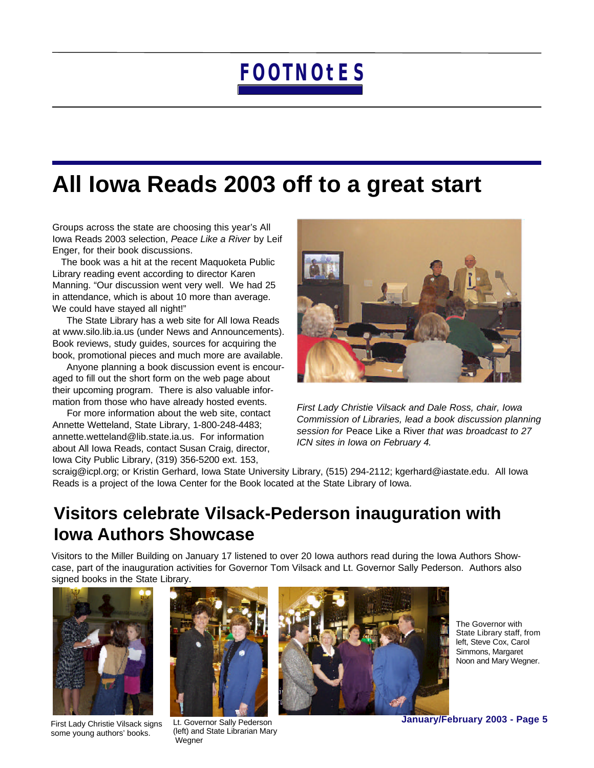## **All Iowa Reads 2003 off to a great start**

Groups across the state are choosing this year's All Iowa Reads 2003 selection, *Peace Like a River* by Leif Enger, for their book discussions.

 The book was a hit at the recent Maquoketa Public Library reading event according to director Karen Manning. "Our discussion went very well. We had 25 in attendance, which is about 10 more than average. We could have stayed all night!"

 The State Library has a web site for All Iowa Reads at www.silo.lib.ia.us (under News and Announcements). Book reviews, study guides, sources for acquiring the book, promotional pieces and much more are available.

 Anyone planning a book discussion event is encouraged to fill out the short form on the web page about their upcoming program. There is also valuable information from those who have already hosted events.

 For more information about the web site, contact Annette Wetteland, State Library, 1-800-248-4483; [annette.wetteland@lib.state.ia.us.](mailto:annette.wetteland@lib.state.ia.us) For information about All Iowa Reads, contact Susan Craig, director, Iowa City Public Library, (319) 356-5200 ext. 153,



*First Lady Christie Vilsack and Dale Ross, chair, Iowa Commission of Libraries, lead a book discussion planning session for* Peace Like a River *that was broadcast to 27 ICN sites in Iowa on February 4.*

[scraig@icpl.org;](mailto:scraig@icpl.org) or Kristin Gerhard, Iowa State University Library, (515) 294-2112; [kgerhard@iastate.edu.](mailto:kgerhard@iastate.edu) All Iowa Reads is a project of the Iowa Center for the Book located at the State Library of Iowa.

## **Visitors celebrate Vilsack-Pederson inauguration with Iowa Authors Showcase**

Visitors to the Miller Building on January 17 listened to over 20 Iowa authors read during the Iowa Authors Showcase, part of the inauguration activities for Governor Tom Vilsack and Lt. Governor Sally Pederson. Authors also signed books in the State Library.



First Lady Christie Vilsack signs some young authors' books.



Lt. Governor Sally Pederson (left) and State Librarian Mary **Wegner** 



The Governor with State Library staff, from left, Steve Cox, Carol Simmons, Margaret Noon and Mary Wegner.

**January/February 2003 - Page 5**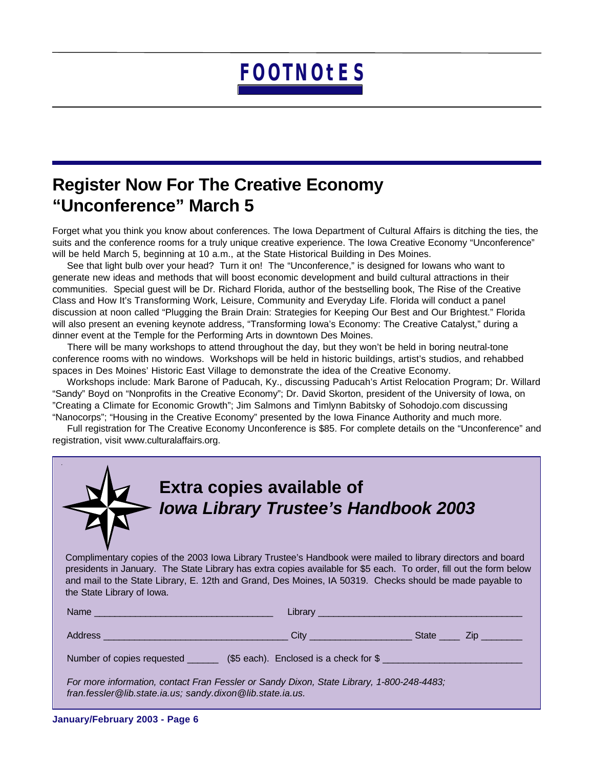## **Register Now For The Creative Economy "Unconference" March 5**

Forget what you think you know about conferences. The Iowa Department of Cultural Affairs is ditching the ties, the suits and the conference rooms for a truly unique creative experience. The Iowa Creative Economy "Unconference" will be held March 5, beginning at 10 a.m., at the State Historical Building in Des Moines.

 See that light bulb over your head? Turn it on! The "Unconference," is designed for Iowans who want to generate new ideas and methods that will boost economic development and build cultural attractions in their communities. Special guest will be Dr. Richard Florida, author of the bestselling book, The Rise of the Creative Class and How It's Transforming Work, Leisure, Community and Everyday Life. Florida will conduct a panel discussion at noon called "Plugging the Brain Drain: Strategies for Keeping Our Best and Our Brightest." Florida will also present an evening keynote address, "Transforming Iowa's Economy: The Creative Catalyst," during a dinner event at the Temple for the Performing Arts in downtown Des Moines.

 There will be many workshops to attend throughout the day, but they won't be held in boring neutral-tone conference rooms with no windows. Workshops will be held in historic buildings, artist's studios, and rehabbed spaces in Des Moines' Historic East Village to demonstrate the idea of the Creative Economy.

 Workshops include: Mark Barone of Paducah, Ky., discussing Paducah's Artist Relocation Program; Dr. Willard "Sandy" Boyd on "Nonprofits in the Creative Economy"; Dr. David Skorton, president of the University of Iowa, on "Creating a Climate for Economic Growth"; Jim Salmons and Timlynn Babitsky of Sohodojo.com discussing "Nanocorps"; "Housing in the Creative Economy" presented by the Iowa Finance Authority and much more.

 Full registration for The Creative Economy Unconference is \$85. For complete details on the "Unconference" and registration, visit [www.culturalaffairs.org.](http://www.culturalaffairs.org)

|                                                                                                                                                                                                                                                                                                                                                                              | <b>Extra copies available of</b><br><b>Iowa Library Trustee's Handbook 2003</b> |  |  |  |  |  |
|------------------------------------------------------------------------------------------------------------------------------------------------------------------------------------------------------------------------------------------------------------------------------------------------------------------------------------------------------------------------------|---------------------------------------------------------------------------------|--|--|--|--|--|
| Complimentary copies of the 2003 lowa Library Trustee's Handbook were mailed to library directors and board<br>presidents in January. The State Library has extra copies available for \$5 each. To order, fill out the form below<br>and mail to the State Library, E. 12th and Grand, Des Moines, IA 50319. Checks should be made payable to<br>the State Library of Iowa. |                                                                                 |  |  |  |  |  |
|                                                                                                                                                                                                                                                                                                                                                                              |                                                                                 |  |  |  |  |  |
|                                                                                                                                                                                                                                                                                                                                                                              |                                                                                 |  |  |  |  |  |
| Number of copies requested _________ (\$5 each). Enclosed is a check for \$                                                                                                                                                                                                                                                                                                  |                                                                                 |  |  |  |  |  |
| For more information, contact Fran Fessler or Sandy Dixon, State Library, 1-800-248-4483;<br>fran.fessler@lib.state.ia.us; sandy.dixon@lib.state.ia.us.                                                                                                                                                                                                                      |                                                                                 |  |  |  |  |  |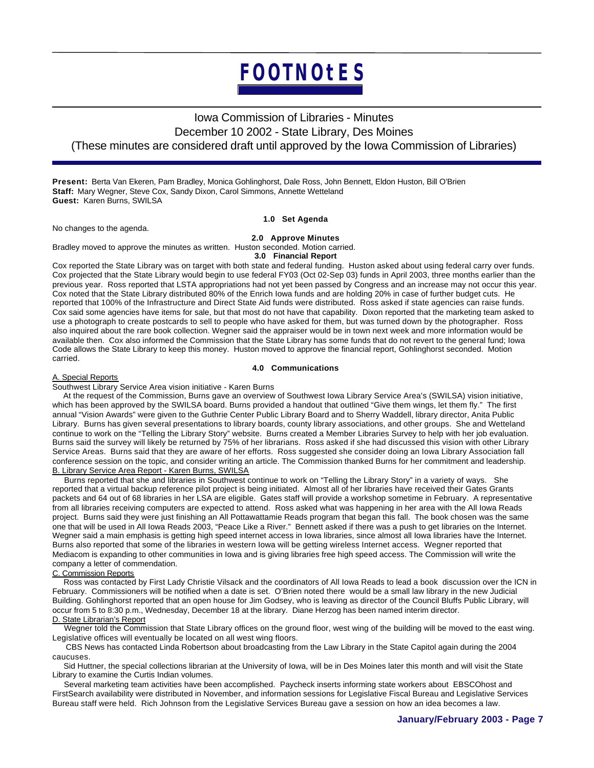### Iowa Commission of Libraries - Minutes December 10 2002 - State Library, Des Moines (These minutes are considered draft until approved by the Iowa Commission of Libraries)

**Present:** Berta Van Ekeren, Pam Bradley, Monica Gohlinghorst, Dale Ross, John Bennett, Eldon Huston, Bill O'Brien **Staff:** Mary Wegner, Steve Cox, Sandy Dixon, Carol Simmons, Annette Wetteland **Guest:** Karen Burns, SWILSA

No changes to the agenda.

### **1.0 Set Agenda**

**2.0 Approve Minutes**

Bradley moved to approve the minutes as written. Huston seconded. Motion carried.

**3.0 Financial Report**

Cox reported the State Library was on target with both state and federal funding. Huston asked about using federal carry over funds. Cox projected that the State Library would begin to use federal FY03 (Oct 02-Sep 03) funds in April 2003, three months earlier than the previous year. Ross reported that LSTA appropriations had not yet been passed by Congress and an increase may not occur this year. Cox noted that the State Library distributed 80% of the Enrich Iowa funds and are holding 20% in case of further budget cuts. He reported that 100% of the Infrastructure and Direct State Aid funds were distributed. Ross asked if state agencies can raise funds. Cox said some agencies have items for sale, but that most do not have that capability. Dixon reported that the marketing team asked to use a photograph to create postcards to sell to people who have asked for them, but was turned down by the photographer. Ross also inquired about the rare book collection. Wegner said the appraiser would be in town next week and more information would be available then. Cox also informed the Commission that the State Library has some funds that do not revert to the general fund; Iowa Code allows the State Library to keep this money. Huston moved to approve the financial report, Gohlinghorst seconded. Motion carried.

### **4.0 Communications**

#### A. Special Reports

Southwest Library Service Area vision initiative - Karen Burns

 At the request of the Commission, Burns gave an overview of Southwest Iowa Library Service Area's (SWILSA) vision initiative, which has been approved by the SWILSA board. Burns provided a handout that outlined "Give them wings, let them fly." The first annual "Vision Awards" were given to the Guthrie Center Public Library Board and to Sherry Waddell, library director, Anita Public Library. Burns has given several presentations to library boards, county library associations, and other groups. She and Wetteland continue to work on the "Telling the Library Story" website. Burns created a Member Libraries Survey to help with her job evaluation. Burns said the survey will likely be returned by 75% of her librarians. Ross asked if she had discussed this vision with other Library Service Areas. Burns said that they are aware of her efforts. Ross suggested she consider doing an Iowa Library Association fall conference session on the topic, and consider writing an article. The Commission thanked Burns for her commitment and leadership. B. Library Service Area Report - Karen Burns, SWILSA

 Burns reported that she and libraries in Southwest continue to work on "Telling the Library Story" in a variety of ways. She reported that a virtual backup reference pilot project is being initiated. Almost all of her libraries have received their Gates Grants packets and 64 out of 68 libraries in her LSA are eligible. Gates staff will provide a workshop sometime in February. A representative from all libraries receiving computers are expected to attend. Ross asked what was happening in her area with the All Iowa Reads project. Burns said they were just finishing an All Pottawattamie Reads program that began this fall. The book chosen was the same one that will be used in All Iowa Reads 2003, "Peace Like a River." Bennett asked if there was a push to get libraries on the Internet. Wegner said a main emphasis is getting high speed internet access in Iowa libraries, since almost all Iowa libraries have the Internet. Burns also reported that some of the libraries in western Iowa will be getting wireless Internet access. Wegner reported that Mediacom is expanding to other communities in Iowa and is giving libraries free high speed access. The Commission will write the company a letter of commendation.

#### C. Commission Reports

 Ross was contacted by First Lady Christie Vilsack and the coordinators of All Iowa Reads to lead a book discussion over the ICN in February. Commissioners will be notified when a date is set. O'Brien noted there would be a small law library in the new Judicial Building. Gohlinghorst reported that an open house for Jim Godsey, who is leaving as director of the Council Bluffs Public Library, will occur from 5 to 8:30 p.m., Wednesday, December 18 at the library. Diane Herzog has been named interim director. D. State Librarian's Report

 Wegner told the Commission that State Library offices on the ground floor, west wing of the building will be moved to the east wing. Legislative offices will eventually be located on all west wing floors.

 CBS News has contacted Linda Robertson about broadcasting from the Law Library in the State Capitol again during the 2004 caucuses.

 Sid Huttner, the special collections librarian at the University of Iowa, will be in Des Moines later this month and will visit the State Library to examine the Curtis Indian volumes.

 Several marketing team activities have been accomplished. Paycheck inserts informing state workers about EBSCOhost and FirstSearch availability were distributed in November, and information sessions for Legislative Fiscal Bureau and Legislative Services Bureau staff were held. Rich Johnson from the Legislative Services Bureau gave a session on how an idea becomes a law.